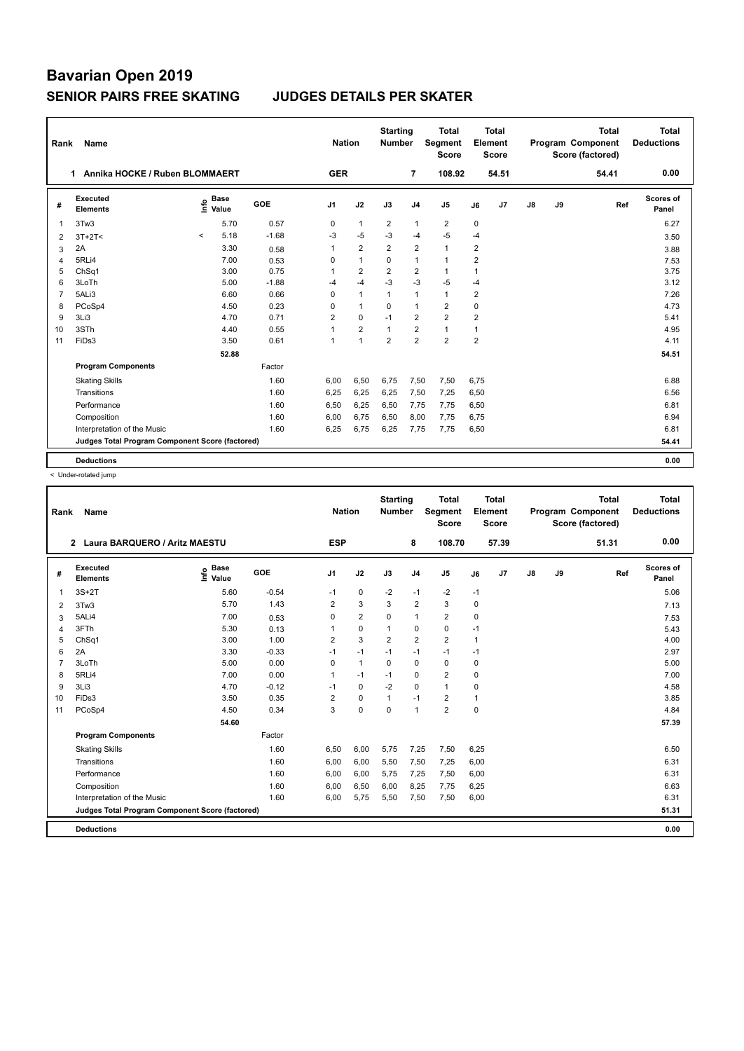| Rank           | Name                                            | <b>Nation</b> |                      | <b>Starting</b><br><b>Number</b> |                | Total<br><b>Segment</b><br><b>Score</b> | <b>Total</b><br>Element<br>Score |                |                |                | <b>Total</b><br>Program Component<br>Score (factored) | Total<br><b>Deductions</b> |    |       |                    |
|----------------|-------------------------------------------------|---------------|----------------------|----------------------------------|----------------|-----------------------------------------|----------------------------------|----------------|----------------|----------------|-------------------------------------------------------|----------------------------|----|-------|--------------------|
|                | 1 Annika HOCKE / Ruben BLOMMAERT                |               |                      |                                  | <b>GER</b>     |                                         |                                  | $\overline{7}$ | 108.92         |                | 54.51                                                 |                            |    | 54.41 | 0.00               |
| #              | Executed<br><b>Elements</b>                     | lnfo          | <b>Base</b><br>Value | GOE                              | J <sub>1</sub> | J2                                      | J3                               | J <sub>4</sub> | J <sub>5</sub> | J6             | J7                                                    | $\mathsf{J}8$              | J9 | Ref   | Scores of<br>Panel |
| $\mathbf{1}$   | 3Tw3                                            |               | 5.70                 | 0.57                             | 0              | $\mathbf{1}$                            | $\overline{2}$                   | $\mathbf{1}$   | $\overline{2}$ | $\mathbf 0$    |                                                       |                            |    |       | 6.27               |
| 2              | $3T+2T<$                                        | $\prec$       | 5.18                 | $-1.68$                          | $-3$           | $-5$                                    | $-3$                             | $-4$           | $-5$           | $-4$           |                                                       |                            |    |       | 3.50               |
| 3              | 2A                                              |               | 3.30                 | 0.58                             | 1              | $\overline{2}$                          | $\overline{2}$                   | $\overline{2}$ | $\mathbf{1}$   | $\overline{2}$ |                                                       |                            |    |       | 3.88               |
| 4              | 5RLi4                                           |               | 7.00                 | 0.53                             | 0              | $\mathbf{1}$                            | 0                                | $\mathbf{1}$   | $\mathbf{1}$   | 2              |                                                       |                            |    |       | 7.53               |
| 5              | Ch <sub>Sq1</sub>                               |               | 3.00                 | 0.75                             | 1              | $\overline{2}$                          | $\overline{2}$                   | $\overline{2}$ | $\mathbf{1}$   | 1              |                                                       |                            |    |       | 3.75               |
| 6              | 3LoTh                                           |               | 5.00                 | $-1.88$                          | $-4$           | $-4$                                    | $-3$                             | $-3$           | $-5$           | $-4$           |                                                       |                            |    |       | 3.12               |
| $\overline{7}$ | 5ALi3                                           |               | 6.60                 | 0.66                             | 0              | $\overline{1}$                          | $\mathbf{1}$                     | $\mathbf{1}$   | $\mathbf{1}$   | 2              |                                                       |                            |    |       | 7.26               |
| 8              | PCoSp4                                          |               | 4.50                 | 0.23                             | $\Omega$       | $\mathbf{1}$                            | $\Omega$                         | $\mathbf{1}$   | $\overline{2}$ | $\mathbf 0$    |                                                       |                            |    |       | 4.73               |
| 9              | 3Li3                                            |               | 4.70                 | 0.71                             | $\overline{2}$ | $\mathbf 0$                             | $-1$                             | $\overline{2}$ | $\overline{2}$ | $\overline{2}$ |                                                       |                            |    |       | 5.41               |
| 10             | 3STh                                            |               | 4.40                 | 0.55                             | 1              | $\overline{2}$                          | $\overline{1}$                   | $\overline{2}$ | $\mathbf{1}$   | 1              |                                                       |                            |    |       | 4.95               |
| 11             | FiDs3                                           |               | 3.50                 | 0.61                             | 1              | $\overline{1}$                          | $\overline{2}$                   | $\overline{2}$ | $\overline{2}$ | $\overline{2}$ |                                                       |                            |    |       | 4.11               |
|                |                                                 |               | 52.88                |                                  |                |                                         |                                  |                |                |                |                                                       |                            |    |       | 54.51              |
|                | <b>Program Components</b>                       |               |                      | Factor                           |                |                                         |                                  |                |                |                |                                                       |                            |    |       |                    |
|                | <b>Skating Skills</b>                           |               |                      | 1.60                             | 6.00           | 6,50                                    | 6,75                             | 7,50           | 7,50           | 6.75           |                                                       |                            |    |       | 6.88               |
|                | Transitions                                     |               |                      | 1.60                             | 6,25           | 6,25                                    | 6,25                             | 7,50           | 7,25           | 6,50           |                                                       |                            |    |       | 6.56               |
|                | Performance                                     |               |                      | 1.60                             | 6,50           | 6,25                                    | 6,50                             | 7,75           | 7,75           | 6,50           |                                                       |                            |    |       | 6.81               |
|                | Composition                                     |               |                      | 1.60                             | 6,00           | 6,75                                    | 6,50                             | 8,00           | 7,75           | 6,75           |                                                       |                            |    |       | 6.94               |
|                | Interpretation of the Music                     |               |                      | 1.60                             | 6,25           | 6,75                                    | 6,25                             | 7,75           | 7,75           | 6,50           |                                                       |                            |    |       | 6.81               |
|                | Judges Total Program Component Score (factored) |               |                      |                                  |                |                                         |                                  |                |                |                |                                                       |                            |    |       | 54.41              |
|                | <b>Deductions</b>                               |               |                      |                                  |                |                                         |                                  |                |                |                |                                                       |                            |    |       | 0.00               |

< Under-rotated jump

|                | Name<br>Rank                                    |                              |         |                | <b>Nation</b>  |                |                | <b>Total</b><br>Segment<br><b>Score</b> |      | Total<br>Element<br>Score |               |    | <b>Total</b><br><b>Program Component</b><br>Score (factored) | <b>Total</b><br><b>Deductions</b> |
|----------------|-------------------------------------------------|------------------------------|---------|----------------|----------------|----------------|----------------|-----------------------------------------|------|---------------------------|---------------|----|--------------------------------------------------------------|-----------------------------------|
|                | 2 Laura BARQUERO / Aritz MAESTU                 |                              |         | <b>ESP</b>     |                |                | 8              | 108.70                                  |      | 57.39                     |               |    | 51.31                                                        | 0.00                              |
| #              | Executed<br><b>Elements</b>                     | <b>Base</b><br>lnfo<br>Value | GOE     | J <sub>1</sub> | J2             | J3             | J <sub>4</sub> | J <sub>5</sub>                          | J6   | J <sub>7</sub>            | $\mathsf{J}8$ | J9 | Ref                                                          | <b>Scores of</b><br>Panel         |
| $\mathbf{1}$   | $3S+2T$                                         | 5.60                         | $-0.54$ | $-1$           | $\pmb{0}$      | $-2$           | $-1$           | $-2$                                    | $-1$ |                           |               |    |                                                              | 5.06                              |
| 2              | 3Tw3                                            | 5.70                         | 1.43    | $\overline{2}$ | 3              | 3              | $\overline{2}$ | 3                                       | 0    |                           |               |    |                                                              | 7.13                              |
| 3              | 5ALi4                                           | 7.00                         | 0.53    | 0              | $\overline{2}$ | $\mathbf 0$    | $\mathbf{1}$   | $\overline{2}$                          | 0    |                           |               |    |                                                              | 7.53                              |
| $\overline{4}$ | 3FTh                                            | 5.30                         | 0.13    |                | $\pmb{0}$      | $\mathbf{1}$   | $\pmb{0}$      | $\mathbf 0$                             | $-1$ |                           |               |    |                                                              | 5.43                              |
| 5              | ChSq1                                           | 3.00                         | 1.00    | $\overline{2}$ | 3              | $\overline{2}$ | $\overline{2}$ | $\overline{2}$                          | 1    |                           |               |    |                                                              | 4.00                              |
| 6              | 2A                                              | 3.30                         | $-0.33$ | $-1$           | $-1$           | $-1$           | $-1$           | $-1$                                    | $-1$ |                           |               |    |                                                              | 2.97                              |
| $\overline{7}$ | 3LoTh                                           | 5.00                         | 0.00    | $\Omega$       | $\mathbf{1}$   | $\Omega$       | $\mathbf 0$    | $\mathbf 0$                             | 0    |                           |               |    |                                                              | 5.00                              |
| 8              | 5RLi4                                           | 7.00                         | 0.00    | 1              | $-1$           | $-1$           | $\mathbf 0$    | $\overline{2}$                          | 0    |                           |               |    |                                                              | 7.00                              |
| 9              | 3Li3                                            | 4.70                         | $-0.12$ | $-1$           | $\mathbf 0$    | $-2$           | $\mathbf 0$    | $\mathbf{1}$                            | 0    |                           |               |    |                                                              | 4.58                              |
| 10             | FiDs3                                           | 3.50                         | 0.35    | $\overline{2}$ | $\mathbf 0$    | $\mathbf{1}$   | $-1$           | $\overline{2}$                          | 1    |                           |               |    |                                                              | 3.85                              |
| 11             | PCoSp4                                          | 4.50                         | 0.34    | 3              | $\mathbf 0$    | $\Omega$       | $\mathbf{1}$   | $\overline{2}$                          | 0    |                           |               |    |                                                              | 4.84                              |
|                |                                                 | 54.60                        |         |                |                |                |                |                                         |      |                           |               |    |                                                              | 57.39                             |
|                | <b>Program Components</b>                       |                              | Factor  |                |                |                |                |                                         |      |                           |               |    |                                                              |                                   |
|                | <b>Skating Skills</b>                           |                              | 1.60    | 6,50           | 6,00           | 5,75           | 7,25           | 7,50                                    | 6,25 |                           |               |    |                                                              | 6.50                              |
|                | Transitions                                     |                              | 1.60    | 6,00           | 6,00           | 5,50           | 7,50           | 7,25                                    | 6,00 |                           |               |    |                                                              | 6.31                              |
|                | Performance                                     |                              | 1.60    | 6,00           | 6,00           | 5,75           | 7,25           | 7,50                                    | 6,00 |                           |               |    |                                                              | 6.31                              |
|                | Composition                                     |                              | 1.60    | 6,00           | 6,50           | 6,00           | 8,25           | 7,75                                    | 6,25 |                           |               |    |                                                              | 6.63                              |
|                | Interpretation of the Music                     |                              | 1.60    | 6,00           | 5,75           | 5,50           | 7,50           | 7,50                                    | 6,00 |                           |               |    |                                                              | 6.31                              |
|                | Judges Total Program Component Score (factored) |                              |         |                |                |                |                |                                         |      |                           |               |    |                                                              | 51.31                             |
|                | <b>Deductions</b>                               |                              |         |                |                |                |                |                                         |      |                           |               |    |                                                              | 0.00                              |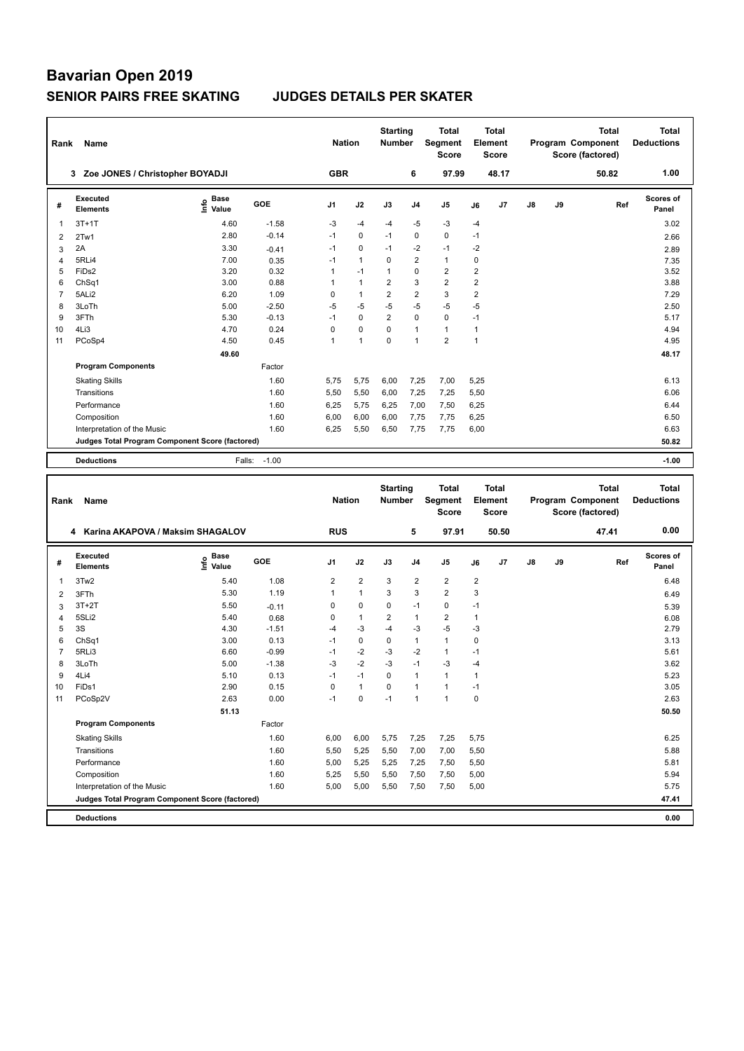| Rank           | Name                                            |                              |         | <b>Nation</b>  |                | <b>Starting</b><br>Number |                | <b>Total</b><br>Segment<br><b>Score</b> |                | <b>Total</b><br>Element<br><b>Score</b> |    |    | <b>Total</b><br>Program Component<br>Score (factored) | Total<br><b>Deductions</b> |
|----------------|-------------------------------------------------|------------------------------|---------|----------------|----------------|---------------------------|----------------|-----------------------------------------|----------------|-----------------------------------------|----|----|-------------------------------------------------------|----------------------------|
|                | Zoe JONES / Christopher BOYADJI<br>3            |                              |         | <b>GBR</b>     |                |                           | 6              | 97.99                                   |                | 48.17                                   |    |    | 50.82                                                 | 1.00                       |
| #              | Executed<br><b>Elements</b>                     | <b>Base</b><br>١nfo<br>Value | GOE     | J <sub>1</sub> | J2             | J3                        | J <sub>4</sub> | J <sub>5</sub>                          | J6             | J7                                      | J8 | J9 | Ref                                                   | Scores of<br>Panel         |
| 1              | $3T+1T$                                         | 4.60                         | $-1.58$ | $-3$           | $-4$           | $-4$                      | $-5$           | $-3$                                    | $-4$           |                                         |    |    |                                                       | 3.02                       |
| 2              | 2Tw1                                            | 2.80                         | $-0.14$ | $-1$           | $\mathbf 0$    | $-1$                      | 0              | 0                                       | $-1$           |                                         |    |    |                                                       | 2.66                       |
| 3              | 2A                                              | 3.30                         | $-0.41$ | $-1$           | $\mathbf 0$    | $-1$                      | $-2$           | $-1$                                    | $-2$           |                                         |    |    |                                                       | 2.89                       |
| 4              | 5RLi4                                           | 7.00                         | 0.35    | $-1$           | $\mathbf{1}$   | 0                         | $\overline{2}$ | $\mathbf{1}$                            | 0              |                                         |    |    |                                                       | 7.35                       |
| 5              | FiDs2                                           | 3.20                         | 0.32    | 1              | $-1$           | $\mathbf{1}$              | $\mathbf 0$    | $\overline{2}$                          | $\overline{2}$ |                                         |    |    |                                                       | 3.52                       |
| 6              | ChSq1                                           | 3.00                         | 0.88    | 1              | $\overline{1}$ | $\overline{2}$            | 3              | $\overline{2}$                          | $\overline{2}$ |                                         |    |    |                                                       | 3.88                       |
| $\overline{7}$ | 5ALi2                                           | 6.20                         | 1.09    | 0              | $\overline{1}$ | $\overline{2}$            | $\overline{2}$ | 3                                       | $\overline{2}$ |                                         |    |    |                                                       | 7.29                       |
| 8              | 3LoTh                                           | 5.00                         | $-2.50$ | $-5$           | $-5$           | $-5$                      | $-5$           | $-5$                                    | -5             |                                         |    |    |                                                       | 2.50                       |
| 9              | 3FTh                                            | 5.30                         | $-0.13$ | $-1$           | $\mathbf 0$    | $\overline{2}$            | $\Omega$       | $\mathbf 0$                             | $-1$           |                                         |    |    |                                                       | 5.17                       |
| 10             | 4Li3                                            | 4.70                         | 0.24    | 0              | $\mathbf 0$    | 0                         | $\mathbf{1}$   | $\mathbf{1}$                            | 1              |                                         |    |    |                                                       | 4.94                       |
| 11             | PCoSp4                                          | 4.50                         | 0.45    | 1              | $\overline{1}$ | $\Omega$                  | $\overline{1}$ | $\overline{2}$                          | $\mathbf{1}$   |                                         |    |    |                                                       | 4.95                       |
|                |                                                 | 49.60                        |         |                |                |                           |                |                                         |                |                                         |    |    |                                                       | 48.17                      |
|                | <b>Program Components</b>                       |                              | Factor  |                |                |                           |                |                                         |                |                                         |    |    |                                                       |                            |
|                | <b>Skating Skills</b>                           |                              | 1.60    | 5,75           | 5,75           | 6,00                      | 7,25           | 7,00                                    | 5,25           |                                         |    |    |                                                       | 6.13                       |
|                | Transitions                                     |                              | 1.60    | 5,50           | 5,50           | 6,00                      | 7,25           | 7,25                                    | 5,50           |                                         |    |    |                                                       | 6.06                       |
|                | Performance                                     |                              | 1.60    | 6,25           | 5,75           | 6,25                      | 7,00           | 7,50                                    | 6,25           |                                         |    |    |                                                       | 6.44                       |
|                | Composition                                     |                              | 1.60    | 6.00           | 6,00           | 6,00                      | 7,75           | 7,75                                    | 6,25           |                                         |    |    |                                                       | 6.50                       |
|                | Interpretation of the Music                     |                              | 1.60    | 6,25           | 5,50           | 6,50                      | 7,75           | 7,75                                    | 6,00           |                                         |    |    |                                                       | 6.63                       |
|                | Judges Total Program Component Score (factored) |                              |         |                |                |                           |                |                                         |                |                                         |    |    |                                                       | 50.82                      |
|                | <b>Deductions</b>                               | Falls:                       | $-1.00$ |                |                |                           |                |                                         |                |                                         |    |    |                                                       | $-1.00$                    |

| Rank           | Name                                            |                                  |         | <b>Nation</b>  |                | <b>Starting</b><br><b>Number</b> |                | <b>Total</b><br>Segment<br><b>Score</b> |                | <b>Total</b><br>Element<br><b>Score</b> |               |    | <b>Total</b><br><b>Program Component</b><br>Score (factored) | <b>Total</b><br><b>Deductions</b> |
|----------------|-------------------------------------------------|----------------------------------|---------|----------------|----------------|----------------------------------|----------------|-----------------------------------------|----------------|-----------------------------------------|---------------|----|--------------------------------------------------------------|-----------------------------------|
|                | Karina AKAPOVA / Maksim SHAGALOV<br>4           |                                  |         | <b>RUS</b>     |                |                                  | 5              | 97.91                                   |                | 50.50                                   |               |    | 47.41                                                        | 0.00                              |
| #              | Executed<br><b>Elements</b>                     | <b>Base</b><br>e Base<br>⊆ Value | GOE     | J <sub>1</sub> | J2             | J3                               | J <sub>4</sub> | J <sub>5</sub>                          | J6             | J7                                      | $\mathsf{J}8$ | J9 | Ref                                                          | Scores of<br>Panel                |
| $\mathbf{1}$   | 3Tw2                                            | 5.40                             | 1.08    | $\overline{2}$ | $\overline{2}$ | 3                                | $\overline{2}$ | $\overline{2}$                          | $\overline{2}$ |                                         |               |    |                                                              | 6.48                              |
| 2              | 3FTh                                            | 5.30                             | 1.19    | 1              | $\mathbf{1}$   | 3                                | 3              | $\overline{2}$                          | 3              |                                         |               |    |                                                              | 6.49                              |
| 3              | $3T+2T$                                         | 5.50                             | $-0.11$ | 0              | 0              | 0                                | $-1$           | 0                                       | $-1$           |                                         |               |    |                                                              | 5.39                              |
| $\overline{4}$ | 5SLi2                                           | 5.40                             | 0.68    | 0              | $\mathbf{1}$   | $\overline{2}$                   | $\overline{1}$ | $\overline{2}$                          | $\mathbf{1}$   |                                         |               |    |                                                              | 6.08                              |
| 5              | 3S                                              | 4.30                             | $-1.51$ | $-4$           | $-3$           | $-4$                             | $-3$           | $-5$                                    | $-3$           |                                         |               |    |                                                              | 2.79                              |
| 6              | ChSq1                                           | 3.00                             | 0.13    | $-1$           | $\pmb{0}$      | $\mathbf 0$                      | $\mathbf{1}$   | $\mathbf{1}$                            | 0              |                                         |               |    |                                                              | 3.13                              |
| $\overline{7}$ | 5RLi3                                           | 6.60                             | $-0.99$ | $-1$           | $-2$           | $-3$                             | $-2$           | $\mathbf{1}$                            | -1             |                                         |               |    |                                                              | 5.61                              |
| 8              | 3LoTh                                           | 5.00                             | $-1.38$ | $-3$           | $-2$           | $-3$                             | $-1$           | $-3$                                    | $-4$           |                                         |               |    |                                                              | 3.62                              |
| 9              | 4Li4                                            | 5.10                             | 0.13    | $-1$           | $-1$           | 0                                | $\overline{1}$ | $\mathbf{1}$                            | 1              |                                         |               |    |                                                              | 5.23                              |
| 10             | FiDs1                                           | 2.90                             | 0.15    | $\Omega$       | $\overline{1}$ | $\Omega$                         | $\overline{1}$ | $\mathbf{1}$                            | $-1$           |                                         |               |    |                                                              | 3.05                              |
| 11             | PCoSp2V                                         | 2.63                             | 0.00    | $-1$           | 0              | $-1$                             | $\overline{1}$ | $\mathbf{1}$                            | 0              |                                         |               |    |                                                              | 2.63                              |
|                |                                                 | 51.13                            |         |                |                |                                  |                |                                         |                |                                         |               |    |                                                              | 50.50                             |
|                | <b>Program Components</b>                       |                                  | Factor  |                |                |                                  |                |                                         |                |                                         |               |    |                                                              |                                   |
|                | <b>Skating Skills</b>                           |                                  | 1.60    | 6,00           | 6,00           | 5,75                             | 7,25           | 7,25                                    | 5,75           |                                         |               |    |                                                              | 6.25                              |
|                | Transitions                                     |                                  | 1.60    | 5,50           | 5,25           | 5,50                             | 7,00           | 7,00                                    | 5,50           |                                         |               |    |                                                              | 5.88                              |
|                | Performance                                     |                                  | 1.60    | 5,00           | 5,25           | 5,25                             | 7,25           | 7,50                                    | 5,50           |                                         |               |    |                                                              | 5.81                              |
|                | Composition                                     |                                  | 1.60    | 5,25           | 5,50           | 5,50                             | 7,50           | 7,50                                    | 5,00           |                                         |               |    |                                                              | 5.94                              |
|                | Interpretation of the Music                     |                                  | 1.60    | 5,00           | 5,00           | 5,50                             | 7,50           | 7,50                                    | 5,00           |                                         |               |    |                                                              | 5.75                              |
|                | Judges Total Program Component Score (factored) |                                  |         |                |                |                                  |                |                                         |                |                                         |               |    |                                                              | 47.41                             |
|                | <b>Deductions</b>                               |                                  |         |                |                |                                  |                |                                         |                |                                         |               |    |                                                              | 0.00                              |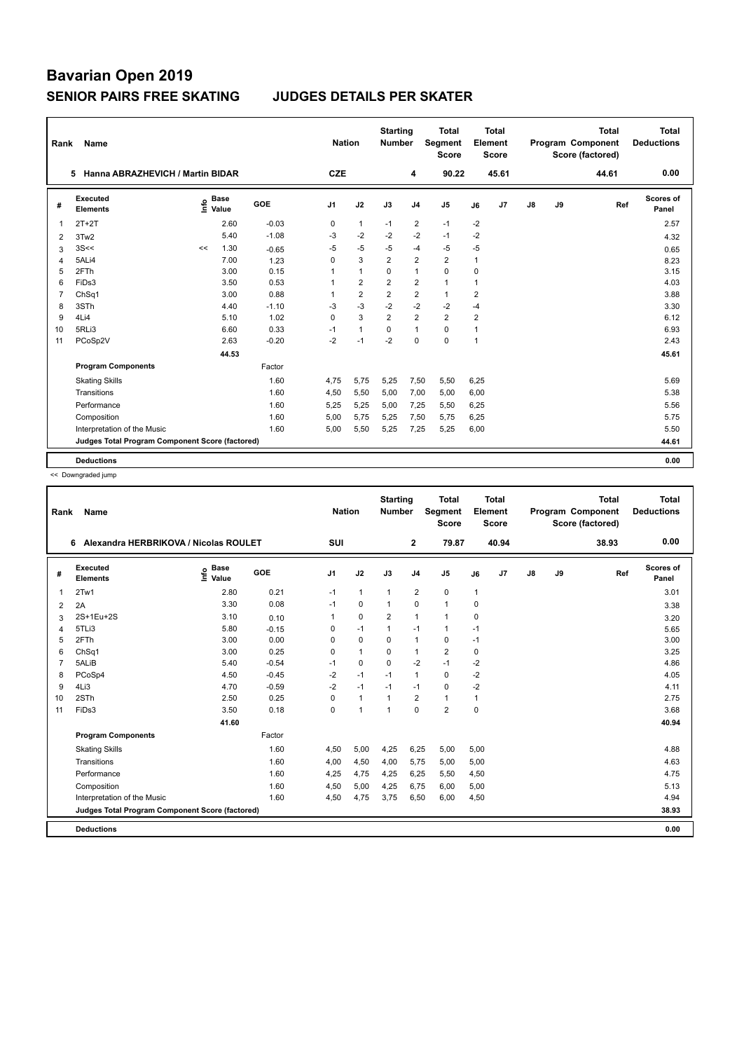|                | <b>Name</b><br>Rank                             |    |                      |         |                | <b>Nation</b>  | <b>Starting</b><br><b>Number</b> |                | <b>Total</b><br><b>Segment</b><br><b>Score</b> | <b>Total</b><br>Element<br>Score |       |    |    | <b>Total</b><br>Program Component<br>Score (factored) | Total<br><b>Deductions</b> |
|----------------|-------------------------------------------------|----|----------------------|---------|----------------|----------------|----------------------------------|----------------|------------------------------------------------|----------------------------------|-------|----|----|-------------------------------------------------------|----------------------------|
|                | Hanna ABRAZHEVICH / Martin BIDAR<br>5           |    |                      |         | <b>CZE</b>     |                |                                  | 4              | 90.22                                          |                                  | 45.61 |    |    | 44.61                                                 | 0.00                       |
| #              | Executed<br><b>Elements</b>                     | ۴٥ | <b>Base</b><br>Value | GOE     | J <sub>1</sub> | J2             | J3                               | J <sub>4</sub> | J <sub>5</sub>                                 | J6                               | J7    | J8 | J9 | Ref                                                   | Scores of<br>Panel         |
| $\overline{1}$ | $2T+2T$                                         |    | 2.60                 | $-0.03$ | 0              | $\mathbf{1}$   | $-1$                             | 2              | $-1$                                           | $-2$                             |       |    |    |                                                       | 2.57                       |
| 2              | 3Tw2                                            |    | 5.40                 | $-1.08$ | -3             | $-2$           | $-2$                             | $-2$           | $-1$                                           | $-2$                             |       |    |    |                                                       | 4.32                       |
| 3              | 3S<<                                            | << | 1.30                 | $-0.65$ | $-5$           | $-5$           | -5                               | $-4$           | $-5$                                           | $-5$                             |       |    |    |                                                       | 0.65                       |
| 4              | 5ALi4                                           |    | 7.00                 | 1.23    | 0              | 3              | $\overline{2}$                   | 2              | $\overline{2}$                                 | $\mathbf{1}$                     |       |    |    |                                                       | 8.23                       |
| 5              | 2FTh                                            |    | 3.00                 | 0.15    | 1              | $\mathbf{1}$   | 0                                | $\mathbf{1}$   | $\Omega$                                       | 0                                |       |    |    |                                                       | 3.15                       |
| 6              | FiDs3                                           |    | 3.50                 | 0.53    | 1              | $\overline{2}$ | 2                                | $\overline{2}$ | $\mathbf{1}$                                   | 1                                |       |    |    |                                                       | 4.03                       |
| $\overline{7}$ | ChSq1                                           |    | 3.00                 | 0.88    | 1              | $\overline{2}$ | $\overline{2}$                   | $\overline{2}$ | $\mathbf{1}$                                   | $\overline{2}$                   |       |    |    |                                                       | 3.88                       |
| 8              | 3STh                                            |    | 4.40                 | $-1.10$ | $-3$           | $-3$           | $-2$                             | $-2$           | $-2$                                           | $-4$                             |       |    |    |                                                       | 3.30                       |
| 9              | 4Li4                                            |    | 5.10                 | 1.02    | $\Omega$       | 3              | $\overline{2}$                   | 2              | $\overline{2}$                                 | $\overline{2}$                   |       |    |    |                                                       | 6.12                       |
| 10             | 5RLi3                                           |    | 6.60                 | 0.33    | $-1$           | $\mathbf{1}$   | 0                                | $\mathbf{1}$   | $\mathbf 0$                                    | 1                                |       |    |    |                                                       | 6.93                       |
| 11             | PCoSp2V                                         |    | 2.63                 | $-0.20$ | $-2$           | $-1$           | $-2$                             | $\mathbf 0$    | $\mathbf 0$                                    | $\mathbf{1}$                     |       |    |    |                                                       | 2.43                       |
|                |                                                 |    | 44.53                |         |                |                |                                  |                |                                                |                                  |       |    |    |                                                       | 45.61                      |
|                | <b>Program Components</b>                       |    |                      | Factor  |                |                |                                  |                |                                                |                                  |       |    |    |                                                       |                            |
|                | <b>Skating Skills</b>                           |    |                      | 1.60    | 4.75           | 5,75           | 5,25                             | 7,50           | 5,50                                           | 6,25                             |       |    |    |                                                       | 5.69                       |
|                | Transitions                                     |    |                      | 1.60    | 4,50           | 5,50           | 5,00                             | 7,00           | 5,00                                           | 6,00                             |       |    |    |                                                       | 5.38                       |
|                | Performance                                     |    |                      | 1.60    | 5,25           | 5,25           | 5,00                             | 7,25           | 5,50                                           | 6,25                             |       |    |    |                                                       | 5.56                       |
|                | Composition                                     |    |                      | 1.60    | 5,00           | 5,75           | 5,25                             | 7,50           | 5,75                                           | 6,25                             |       |    |    |                                                       | 5.75                       |
|                | Interpretation of the Music                     |    |                      | 1.60    | 5,00           | 5,50           | 5,25                             | 7,25           | 5,25                                           | 6,00                             |       |    |    |                                                       | 5.50                       |
|                | Judges Total Program Component Score (factored) |    |                      |         |                |                |                                  |                |                                                |                                  |       |    |    |                                                       | 44.61                      |
|                | <b>Deductions</b>                               |    |                      |         |                |                |                                  |                |                                                |                                  |       |    |    |                                                       | 0.00                       |

<< Downgraded jump

| Rank           | Name                                            |                                  |            | <b>Nation</b>  |              | <b>Starting</b><br><b>Number</b> |                | <b>Total</b><br>Segment<br><b>Score</b> |             | Total<br>Element<br><b>Score</b> |               |    | <b>Total</b><br><b>Program Component</b><br>Score (factored) | <b>Total</b><br><b>Deductions</b> |
|----------------|-------------------------------------------------|----------------------------------|------------|----------------|--------------|----------------------------------|----------------|-----------------------------------------|-------------|----------------------------------|---------------|----|--------------------------------------------------------------|-----------------------------------|
|                | Alexandra HERBRIKOVA / Nicolas ROULET<br>6      |                                  |            | SUI            |              |                                  | $\mathbf{2}$   | 79.87                                   |             | 40.94                            |               |    | 38.93                                                        | 0.00                              |
| #              | Executed<br><b>Elements</b>                     | <b>Base</b><br>e Base<br>⊆ Value | <b>GOE</b> | J <sub>1</sub> | J2           | J3                               | J <sub>4</sub> | J5                                      | J6          | J7                               | $\mathsf{J}8$ | J9 | Ref                                                          | Scores of<br>Panel                |
| 1              | 2Tw1                                            | 2.80                             | 0.21       | $-1$           | $\mathbf{1}$ | $\mathbf{1}$                     | $\overline{2}$ | 0                                       | 1           |                                  |               |    |                                                              | 3.01                              |
| 2              | 2A                                              | 3.30                             | 0.08       | $-1$           | $\mathbf 0$  | $\mathbf{1}$                     | $\Omega$       | $\mathbf{1}$                            | 0           |                                  |               |    |                                                              | 3.38                              |
| 3              | 2S+1Eu+2S                                       | 3.10                             | 0.10       | 1              | $\mathbf 0$  | $\overline{2}$                   | $\mathbf{1}$   | $\mathbf{1}$                            | 0           |                                  |               |    |                                                              | 3.20                              |
| 4              | 5TLi3                                           | 5.80                             | $-0.15$    | 0              | $-1$         | $\mathbf{1}$                     | $-1$           | 1                                       | $-1$        |                                  |               |    |                                                              | 5.65                              |
| 5              | 2FTh                                            | 3.00                             | 0.00       | $\Omega$       | $\mathbf 0$  | $\Omega$                         | $\mathbf{1}$   | 0                                       | $-1$        |                                  |               |    |                                                              | 3.00                              |
| 6              | ChSq1                                           | 3.00                             | 0.25       | $\Omega$       | $\mathbf{1}$ | $\Omega$                         | $\mathbf{1}$   | $\overline{2}$                          | $\mathbf 0$ |                                  |               |    |                                                              | 3.25                              |
| $\overline{7}$ | 5ALiB                                           | 5.40                             | $-0.54$    | $-1$           | $\mathbf 0$  | $\Omega$                         | $-2$           | $-1$                                    | $-2$        |                                  |               |    |                                                              | 4.86                              |
| 8              | PCoSp4                                          | 4.50                             | $-0.45$    | $-2$           | $-1$         | $-1$                             | $\mathbf{1}$   | 0                                       | $-2$        |                                  |               |    |                                                              | 4.05                              |
| 9              | 4Li3                                            | 4.70                             | $-0.59$    | $-2$           | $-1$         | $-1$                             | $-1$           | $\Omega$                                | $-2$        |                                  |               |    |                                                              | 4.11                              |
| 10             | 2STh                                            | 2.50                             | 0.25       | $\Omega$       | $\mathbf{1}$ | $\mathbf{1}$                     | $\overline{2}$ | $\mathbf{1}$                            | 1           |                                  |               |    |                                                              | 2.75                              |
| 11             | FiDs3                                           | 3.50                             | 0.18       | $\mathbf 0$    | $\mathbf{1}$ | $\mathbf{1}$                     | $\Omega$       | $\overline{2}$                          | $\mathbf 0$ |                                  |               |    |                                                              | 3.68                              |
|                |                                                 | 41.60                            |            |                |              |                                  |                |                                         |             |                                  |               |    |                                                              | 40.94                             |
|                | <b>Program Components</b>                       |                                  | Factor     |                |              |                                  |                |                                         |             |                                  |               |    |                                                              |                                   |
|                | <b>Skating Skills</b>                           |                                  | 1.60       | 4.50           | 5,00         | 4.25                             | 6.25           | 5,00                                    | 5.00        |                                  |               |    |                                                              | 4.88                              |
|                | Transitions                                     |                                  | 1.60       | 4,00           | 4,50         | 4,00                             | 5,75           | 5,00                                    | 5,00        |                                  |               |    |                                                              | 4.63                              |
|                | Performance                                     |                                  | 1.60       | 4.25           | 4.75         | 4.25                             | 6.25           | 5.50                                    | 4,50        |                                  |               |    |                                                              | 4.75                              |
|                | Composition                                     |                                  | 1.60       | 4,50           | 5,00         | 4,25                             | 6,75           | 6,00                                    | 5,00        |                                  |               |    |                                                              | 5.13                              |
|                | Interpretation of the Music                     |                                  | 1.60       | 4,50           | 4,75         | 3,75                             | 6,50           | 6,00                                    | 4,50        |                                  |               |    |                                                              | 4.94                              |
|                | Judges Total Program Component Score (factored) |                                  |            |                |              |                                  |                |                                         |             |                                  |               |    |                                                              | 38.93                             |
|                | <b>Deductions</b>                               |                                  |            |                |              |                                  |                |                                         |             |                                  |               |    |                                                              | 0.00                              |